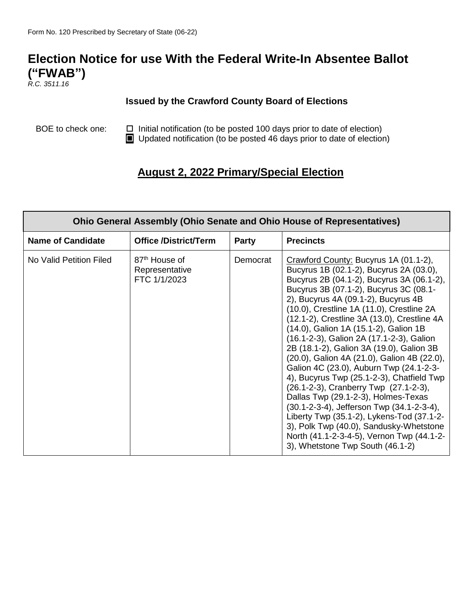# **Election Notice for use With the Federal Write-In Absentee Ballot ("FWAB")**

*R.C. 3511.16*

г

#### **Issued by the Crawford County Board of Elections**

BOE to check one:  $\Box$  Initial notification (to be posted 100 days prior to date of election) Updated notification (to be posted 46 days prior to date of election)

## **August 2, 2022 Primary/Special Election**

| <b>Ohio General Assembly (Ohio Senate and Ohio House of Representatives)</b> |                                                             |          |                                                                                                                                                                                                                                                                                                                                                                                                                                                                                                                                                                                                                                                                                                                                                                                                                                                                                          |  |
|------------------------------------------------------------------------------|-------------------------------------------------------------|----------|------------------------------------------------------------------------------------------------------------------------------------------------------------------------------------------------------------------------------------------------------------------------------------------------------------------------------------------------------------------------------------------------------------------------------------------------------------------------------------------------------------------------------------------------------------------------------------------------------------------------------------------------------------------------------------------------------------------------------------------------------------------------------------------------------------------------------------------------------------------------------------------|--|
| <b>Name of Candidate</b>                                                     | <b>Office /District/Term</b>                                | Party    | <b>Precincts</b>                                                                                                                                                                                                                                                                                                                                                                                                                                                                                                                                                                                                                                                                                                                                                                                                                                                                         |  |
| No Valid Petition Filed                                                      | 87 <sup>th</sup> House of<br>Representative<br>FTC 1/1/2023 | Democrat | Crawford County: Bucyrus 1A (01.1-2),<br>Bucyrus 1B (02.1-2), Bucyrus 2A (03.0),<br>Bucyrus 2B (04.1-2), Bucyrus 3A (06.1-2),<br>Bucyrus 3B (07.1-2), Bucyrus 3C (08.1-<br>2), Bucyrus 4A (09.1-2), Bucyrus 4B<br>(10.0), Crestline 1A (11.0), Crestline 2A<br>(12.1-2), Crestline 3A (13.0), Crestline 4A<br>(14.0), Galion 1A (15.1-2), Galion 1B<br>(16.1-2-3), Galion 2A (17.1-2-3), Galion<br>2B (18.1-2), Galion 3A (19.0), Galion 3B<br>(20.0), Galion 4A (21.0), Galion 4B (22.0),<br>Galion 4C (23.0), Auburn Twp (24.1-2-3-<br>4), Bucyrus Twp (25.1-2-3), Chatfield Twp<br>(26.1-2-3), Cranberry Twp (27.1-2-3),<br>Dallas Twp (29.1-2-3), Holmes-Texas<br>(30.1-2-3-4), Jefferson Twp (34.1-2-3-4),<br>Liberty Twp (35.1-2), Lykens-Tod (37.1-2-<br>3), Polk Twp (40.0), Sandusky-Whetstone<br>North (41.1-2-3-4-5), Vernon Twp (44.1-2-<br>3), Whetstone Twp South (46.1-2) |  |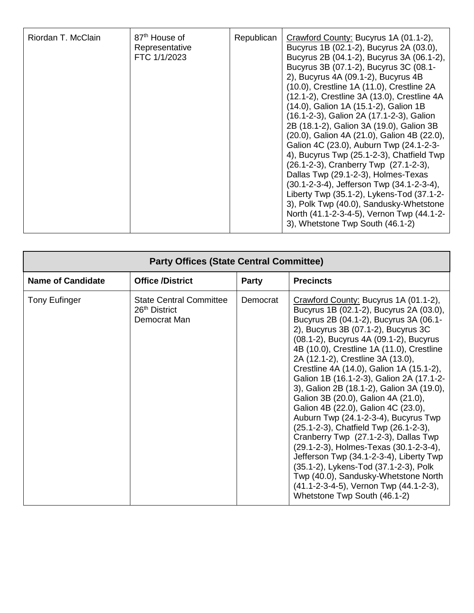| Riordan T. McClain | 87 <sup>th</sup> House of<br>Representative<br>FTC 1/1/2023 | Republican | Crawford County: Bucyrus 1A (01.1-2),<br>Bucyrus 1B (02.1-2), Bucyrus 2A (03.0),<br>Bucyrus 2B (04.1-2), Bucyrus 3A (06.1-2),<br>Bucyrus 3B (07.1-2), Bucyrus 3C (08.1-<br>2), Bucyrus 4A (09.1-2), Bucyrus 4B<br>(10.0), Crestline 1A (11.0), Crestline 2A<br>(12.1-2), Crestline 3A (13.0), Crestline 4A<br>(14.0), Galion 1A (15.1-2), Galion 1B<br>(16.1-2-3), Galion 2A (17.1-2-3), Galion<br>2B (18.1-2), Galion 3A (19.0), Galion 3B<br>(20.0), Galion 4A (21.0), Galion 4B (22.0),<br>Galion 4C (23.0), Auburn Twp (24.1-2-3-<br>4), Bucyrus Twp (25.1-2-3), Chatfield Twp<br>(26.1-2-3), Cranberry Twp (27.1-2-3),<br>Dallas Twp (29.1-2-3), Holmes-Texas<br>(30.1-2-3-4), Jefferson Twp (34.1-2-3-4),<br>Liberty Twp (35.1-2), Lykens-Tod (37.1-2-<br>3), Polk Twp (40.0), Sandusky-Whetstone<br>North (41.1-2-3-4-5), Vernon Twp (44.1-2-<br>3), Whetstone Twp South (46.1-2) |
|--------------------|-------------------------------------------------------------|------------|------------------------------------------------------------------------------------------------------------------------------------------------------------------------------------------------------------------------------------------------------------------------------------------------------------------------------------------------------------------------------------------------------------------------------------------------------------------------------------------------------------------------------------------------------------------------------------------------------------------------------------------------------------------------------------------------------------------------------------------------------------------------------------------------------------------------------------------------------------------------------------------|
|--------------------|-------------------------------------------------------------|------------|------------------------------------------------------------------------------------------------------------------------------------------------------------------------------------------------------------------------------------------------------------------------------------------------------------------------------------------------------------------------------------------------------------------------------------------------------------------------------------------------------------------------------------------------------------------------------------------------------------------------------------------------------------------------------------------------------------------------------------------------------------------------------------------------------------------------------------------------------------------------------------------|

| <b>Party Offices (State Central Committee)</b> |                                                                             |              |                                                                                                                                                                                                                                                                                                                                                                                                                                                                                                                                                                                                                                                                                                                                                                                                                                                                                           |  |
|------------------------------------------------|-----------------------------------------------------------------------------|--------------|-------------------------------------------------------------------------------------------------------------------------------------------------------------------------------------------------------------------------------------------------------------------------------------------------------------------------------------------------------------------------------------------------------------------------------------------------------------------------------------------------------------------------------------------------------------------------------------------------------------------------------------------------------------------------------------------------------------------------------------------------------------------------------------------------------------------------------------------------------------------------------------------|--|
| <b>Name of Candidate</b>                       | <b>Office /District</b>                                                     | <b>Party</b> | <b>Precincts</b>                                                                                                                                                                                                                                                                                                                                                                                                                                                                                                                                                                                                                                                                                                                                                                                                                                                                          |  |
| <b>Tony Eufinger</b>                           | <b>State Central Committee</b><br>26 <sup>th</sup> District<br>Democrat Man | Democrat     | Crawford County: Bucyrus 1A (01.1-2),<br>Bucyrus 1B (02.1-2), Bucyrus 2A (03.0),<br>Bucyrus 2B (04.1-2), Bucyrus 3A (06.1-<br>2), Bucyrus 3B (07.1-2), Bucyrus 3C<br>(08.1-2), Bucyrus 4A (09.1-2), Bucyrus<br>4B (10.0), Crestline 1A (11.0), Crestline<br>2A (12.1-2), Crestline 3A (13.0),<br>Crestline 4A (14.0), Galion 1A (15.1-2),<br>Galion 1B (16.1-2-3), Galion 2A (17.1-2-<br>3), Galion 2B (18.1-2), Galion 3A (19.0),<br>Galion 3B (20.0), Galion 4A (21.0),<br>Galion 4B (22.0), Galion 4C (23.0),<br>Auburn Twp (24.1-2-3-4), Bucyrus Twp<br>(25.1-2-3), Chatfield Twp (26.1-2-3),<br>Cranberry Twp (27.1-2-3), Dallas Twp<br>(29.1-2-3), Holmes-Texas (30.1-2-3-4),<br>Jefferson Twp (34.1-2-3-4), Liberty Twp<br>(35.1-2), Lykens-Tod (37.1-2-3), Polk<br>Twp (40.0), Sandusky-Whetstone North<br>(41.1-2-3-4-5), Vernon Twp (44.1-2-3),<br>Whetstone Twp South (46.1-2) |  |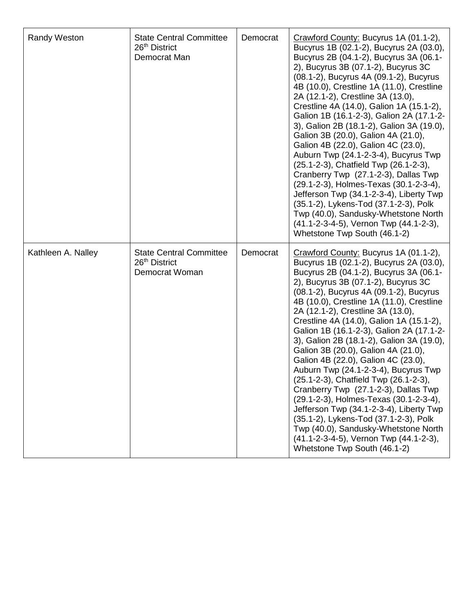| Randy Weston       | <b>State Central Committee</b><br>26 <sup>th</sup> District<br>Democrat Man   | Democrat | Crawford County: Bucyrus 1A (01.1-2),<br>Bucyrus 1B (02.1-2), Bucyrus 2A (03.0),<br>Bucyrus 2B (04.1-2), Bucyrus 3A (06.1-<br>2), Bucyrus 3B (07.1-2), Bucyrus 3C<br>(08.1-2), Bucyrus 4A (09.1-2), Bucyrus<br>4B (10.0), Crestline 1A (11.0), Crestline<br>2A (12.1-2), Crestline 3A (13.0),<br>Crestline 4A (14.0), Galion 1A (15.1-2),<br>Galion 1B (16.1-2-3), Galion 2A (17.1-2-<br>3), Galion 2B (18.1-2), Galion 3A (19.0),<br>Galion 3B (20.0), Galion 4A (21.0),<br>Galion 4B (22.0), Galion 4C (23.0),<br>Auburn Twp (24.1-2-3-4), Bucyrus Twp<br>(25.1-2-3), Chatfield Twp (26.1-2-3),<br>Cranberry Twp (27.1-2-3), Dallas Twp<br>(29.1-2-3), Holmes-Texas (30.1-2-3-4),<br>Jefferson Twp (34.1-2-3-4), Liberty Twp<br>(35.1-2), Lykens-Tod (37.1-2-3), Polk<br>Twp (40.0), Sandusky-Whetstone North<br>(41.1-2-3-4-5), Vernon Twp (44.1-2-3),<br>Whetstone Twp South (46.1-2) |
|--------------------|-------------------------------------------------------------------------------|----------|-------------------------------------------------------------------------------------------------------------------------------------------------------------------------------------------------------------------------------------------------------------------------------------------------------------------------------------------------------------------------------------------------------------------------------------------------------------------------------------------------------------------------------------------------------------------------------------------------------------------------------------------------------------------------------------------------------------------------------------------------------------------------------------------------------------------------------------------------------------------------------------------|
| Kathleen A. Nalley | <b>State Central Committee</b><br>26 <sup>th</sup> District<br>Democrat Woman | Democrat | Crawford County: Bucyrus 1A (01.1-2),<br>Bucyrus 1B (02.1-2), Bucyrus 2A (03.0),<br>Bucyrus 2B (04.1-2), Bucyrus 3A (06.1-<br>2), Bucyrus 3B (07.1-2), Bucyrus 3C<br>(08.1-2), Bucyrus 4A (09.1-2), Bucyrus<br>4B (10.0), Crestline 1A (11.0), Crestline<br>2A (12.1-2), Crestline 3A (13.0),<br>Crestline 4A (14.0), Galion 1A (15.1-2),<br>Galion 1B (16.1-2-3), Galion 2A (17.1-2-<br>3), Galion 2B (18.1-2), Galion 3A (19.0),<br>Galion 3B (20.0), Galion 4A (21.0),<br>Galion 4B (22.0), Galion 4C (23.0),<br>Auburn Twp (24.1-2-3-4), Bucyrus Twp<br>(25.1-2-3), Chatfield Twp (26.1-2-3),<br>Cranberry Twp (27.1-2-3), Dallas Twp<br>(29.1-2-3), Holmes-Texas (30.1-2-3-4),<br>Jefferson Twp (34.1-2-3-4), Liberty Twp<br>(35.1-2), Lykens-Tod (37.1-2-3), Polk<br>Twp (40.0), Sandusky-Whetstone North<br>(41.1-2-3-4-5), Vernon Twp (44.1-2-3),<br>Whetstone Twp South (46.1-2) |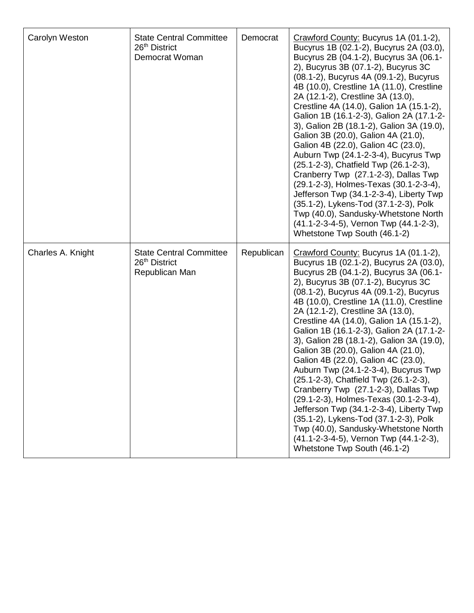| Carolyn Weston    | <b>State Central Committee</b><br>26 <sup>th</sup> District<br>Democrat Woman | Democrat   | Crawford County: Bucyrus 1A (01.1-2),<br>Bucyrus 1B (02.1-2), Bucyrus 2A (03.0),<br>Bucyrus 2B (04.1-2), Bucyrus 3A (06.1-<br>2), Bucyrus 3B (07.1-2), Bucyrus 3C<br>(08.1-2), Bucyrus 4A (09.1-2), Bucyrus<br>4B (10.0), Crestline 1A (11.0), Crestline<br>2A (12.1-2), Crestline 3A (13.0),<br>Crestline 4A (14.0), Galion 1A (15.1-2),<br>Galion 1B (16.1-2-3), Galion 2A (17.1-2-<br>3), Galion 2B (18.1-2), Galion 3A (19.0),<br>Galion 3B (20.0), Galion 4A (21.0),<br>Galion 4B (22.0), Galion 4C (23.0),<br>Auburn Twp (24.1-2-3-4), Bucyrus Twp<br>(25.1-2-3), Chatfield Twp (26.1-2-3),<br>Cranberry Twp (27.1-2-3), Dallas Twp<br>(29.1-2-3), Holmes-Texas (30.1-2-3-4),<br>Jefferson Twp (34.1-2-3-4), Liberty Twp<br>(35.1-2), Lykens-Tod (37.1-2-3), Polk<br>Twp (40.0), Sandusky-Whetstone North<br>(41.1-2-3-4-5), Vernon Twp (44.1-2-3),<br>Whetstone Twp South (46.1-2) |
|-------------------|-------------------------------------------------------------------------------|------------|-------------------------------------------------------------------------------------------------------------------------------------------------------------------------------------------------------------------------------------------------------------------------------------------------------------------------------------------------------------------------------------------------------------------------------------------------------------------------------------------------------------------------------------------------------------------------------------------------------------------------------------------------------------------------------------------------------------------------------------------------------------------------------------------------------------------------------------------------------------------------------------------|
| Charles A. Knight | <b>State Central Committee</b><br>26 <sup>th</sup> District<br>Republican Man | Republican | Crawford County: Bucyrus 1A (01.1-2),<br>Bucyrus 1B (02.1-2), Bucyrus 2A (03.0),<br>Bucyrus 2B (04.1-2), Bucyrus 3A (06.1-<br>2), Bucyrus 3B (07.1-2), Bucyrus 3C<br>(08.1-2), Bucyrus 4A (09.1-2), Bucyrus<br>4B (10.0), Crestline 1A (11.0), Crestline<br>2A (12.1-2), Crestline 3A (13.0),<br>Crestline 4A (14.0), Galion 1A (15.1-2),<br>Galion 1B (16.1-2-3), Galion 2A (17.1-2-<br>3), Galion 2B (18.1-2), Galion 3A (19.0),<br>Galion 3B (20.0), Galion 4A (21.0),<br>Galion 4B (22.0), Galion 4C (23.0),<br>Auburn Twp (24.1-2-3-4), Bucyrus Twp<br>(25.1-2-3), Chatfield Twp (26.1-2-3),<br>Cranberry Twp (27.1-2-3), Dallas Twp<br>(29.1-2-3), Holmes-Texas (30.1-2-3-4),<br>Jefferson Twp (34.1-2-3-4), Liberty Twp<br>(35.1-2), Lykens-Tod (37.1-2-3), Polk<br>Twp (40.0), Sandusky-Whetstone North<br>(41.1-2-3-4-5), Vernon Twp (44.1-2-3),<br>Whetstone Twp South (46.1-2) |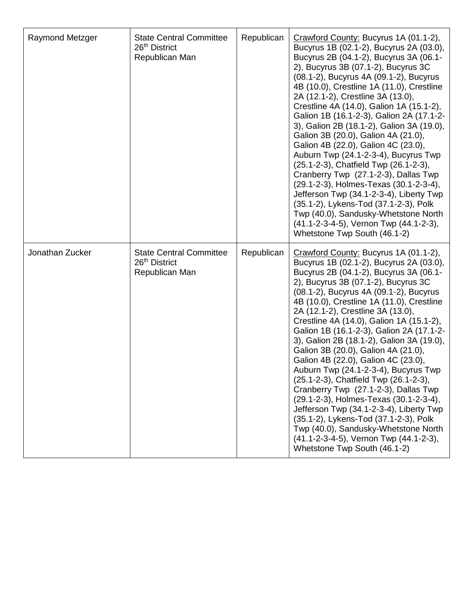| <b>Raymond Metzger</b> | <b>State Central Committee</b><br>26th District<br>Republican Man             | Republican | Crawford County: Bucyrus 1A (01.1-2),<br>Bucyrus 1B (02.1-2), Bucyrus 2A (03.0),<br>Bucyrus 2B (04.1-2), Bucyrus 3A (06.1-<br>2), Bucyrus 3B (07.1-2), Bucyrus 3C<br>(08.1-2), Bucyrus 4A (09.1-2), Bucyrus<br>4B (10.0), Crestline 1A (11.0), Crestline<br>2A (12.1-2), Crestline 3A (13.0),<br>Crestline 4A (14.0), Galion 1A (15.1-2),<br>Galion 1B (16.1-2-3), Galion 2A (17.1-2-<br>3), Galion 2B (18.1-2), Galion 3A (19.0),<br>Galion 3B (20.0), Galion 4A (21.0),<br>Galion 4B (22.0), Galion 4C (23.0),<br>Auburn Twp (24.1-2-3-4), Bucyrus Twp<br>(25.1-2-3), Chatfield Twp (26.1-2-3),<br>Cranberry Twp (27.1-2-3), Dallas Twp<br>(29.1-2-3), Holmes-Texas (30.1-2-3-4),<br>Jefferson Twp (34.1-2-3-4), Liberty Twp<br>(35.1-2), Lykens-Tod (37.1-2-3), Polk<br>Twp (40.0), Sandusky-Whetstone North<br>(41.1-2-3-4-5), Vernon Twp (44.1-2-3),<br>Whetstone Twp South (46.1-2) |
|------------------------|-------------------------------------------------------------------------------|------------|-------------------------------------------------------------------------------------------------------------------------------------------------------------------------------------------------------------------------------------------------------------------------------------------------------------------------------------------------------------------------------------------------------------------------------------------------------------------------------------------------------------------------------------------------------------------------------------------------------------------------------------------------------------------------------------------------------------------------------------------------------------------------------------------------------------------------------------------------------------------------------------------|
| Jonathan Zucker        | <b>State Central Committee</b><br>26 <sup>th</sup> District<br>Republican Man | Republican | Crawford County: Bucyrus 1A (01.1-2),<br>Bucyrus 1B (02.1-2), Bucyrus 2A (03.0),<br>Bucyrus 2B (04.1-2), Bucyrus 3A (06.1-<br>2), Bucyrus 3B (07.1-2), Bucyrus 3C<br>(08.1-2), Bucyrus 4A (09.1-2), Bucyrus<br>4B (10.0), Crestline 1A (11.0), Crestline<br>2A (12.1-2), Crestline 3A (13.0),<br>Crestline 4A (14.0), Galion 1A (15.1-2),<br>Galion 1B (16.1-2-3), Galion 2A (17.1-2-<br>3), Galion 2B (18.1-2), Galion 3A (19.0),<br>Galion 3B (20.0), Galion 4A (21.0),<br>Galion 4B (22.0), Galion 4C (23.0),<br>Auburn Twp (24.1-2-3-4), Bucyrus Twp<br>(25.1-2-3), Chatfield Twp (26.1-2-3),<br>Cranberry Twp (27.1-2-3), Dallas Twp<br>(29.1-2-3), Holmes-Texas (30.1-2-3-4),<br>Jefferson Twp (34.1-2-3-4), Liberty Twp<br>(35.1-2), Lykens-Tod (37.1-2-3), Polk<br>Twp (40.0), Sandusky-Whetstone North<br>(41.1-2-3-4-5), Vernon Twp (44.1-2-3),<br>Whetstone Twp South (46.1-2) |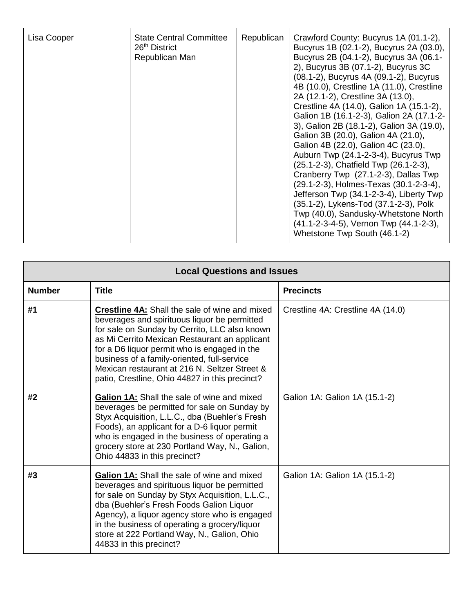| Lisa Cooper | <b>State Central Committee</b><br>26 <sup>th</sup> District<br>Republican Man | Republican | Crawford County: Bucyrus 1A (01.1-2),<br>Bucyrus 1B (02.1-2), Bucyrus 2A (03.0),<br>Bucyrus 2B (04.1-2), Bucyrus 3A (06.1-<br>2), Bucyrus 3B (07.1-2), Bucyrus 3C<br>(08.1-2), Bucyrus 4A (09.1-2), Bucyrus<br>4B (10.0), Crestline 1A (11.0), Crestline<br>2A (12.1-2), Crestline 3A (13.0),<br>Crestline 4A (14.0), Galion 1A (15.1-2),<br>Galion 1B (16.1-2-3), Galion 2A (17.1-2-<br>3), Galion 2B (18.1-2), Galion 3A (19.0),<br>Galion 3B (20.0), Galion 4A (21.0),<br>Galion 4B (22.0), Galion 4C (23.0),<br>Auburn Twp (24.1-2-3-4), Bucyrus Twp<br>(25.1-2-3), Chatfield Twp (26.1-2-3),<br>Cranberry Twp (27.1-2-3), Dallas Twp<br>(29.1-2-3), Holmes-Texas (30.1-2-3-4),<br>Jefferson Twp (34.1-2-3-4), Liberty Twp<br>(35.1-2), Lykens-Tod (37.1-2-3), Polk<br>Twp (40.0), Sandusky-Whetstone North<br>(41.1-2-3-4-5), Vernon Twp (44.1-2-3),<br>Whetstone Twp South (46.1-2) |
|-------------|-------------------------------------------------------------------------------|------------|-------------------------------------------------------------------------------------------------------------------------------------------------------------------------------------------------------------------------------------------------------------------------------------------------------------------------------------------------------------------------------------------------------------------------------------------------------------------------------------------------------------------------------------------------------------------------------------------------------------------------------------------------------------------------------------------------------------------------------------------------------------------------------------------------------------------------------------------------------------------------------------------|
|-------------|-------------------------------------------------------------------------------|------------|-------------------------------------------------------------------------------------------------------------------------------------------------------------------------------------------------------------------------------------------------------------------------------------------------------------------------------------------------------------------------------------------------------------------------------------------------------------------------------------------------------------------------------------------------------------------------------------------------------------------------------------------------------------------------------------------------------------------------------------------------------------------------------------------------------------------------------------------------------------------------------------------|

| <b>Local Questions and Issues</b> |                                                                                                                                                                                                                                                                                                                                                                                                           |                                   |  |
|-----------------------------------|-----------------------------------------------------------------------------------------------------------------------------------------------------------------------------------------------------------------------------------------------------------------------------------------------------------------------------------------------------------------------------------------------------------|-----------------------------------|--|
| <b>Number</b>                     | <b>Title</b>                                                                                                                                                                                                                                                                                                                                                                                              | <b>Precincts</b>                  |  |
| #1                                | <b>Crestline 4A:</b> Shall the sale of wine and mixed<br>beverages and spirituous liquor be permitted<br>for sale on Sunday by Cerrito, LLC also known<br>as Mi Cerrito Mexican Restaurant an applicant<br>for a D6 liquor permit who is engaged in the<br>business of a family-oriented, full-service<br>Mexican restaurant at 216 N. Seltzer Street &<br>patio, Crestline, Ohio 44827 in this precinct? | Crestline 4A: Crestline 4A (14.0) |  |
| #2                                | <b>Galion 1A:</b> Shall the sale of wine and mixed<br>beverages be permitted for sale on Sunday by<br>Styx Acquisition, L.L.C., dba (Buehler's Fresh<br>Foods), an applicant for a D-6 liquor permit<br>who is engaged in the business of operating a<br>grocery store at 230 Portland Way, N., Galion,<br>Ohio 44833 in this precinct?                                                                   | Galion 1A: Galion 1A (15.1-2)     |  |
| #3                                | <b>Galion 1A:</b> Shall the sale of wine and mixed<br>beverages and spirituous liquor be permitted<br>for sale on Sunday by Styx Acquisition, L.L.C.,<br>dba (Buehler's Fresh Foods Galion Liquor<br>Agency), a liquor agency store who is engaged<br>in the business of operating a grocery/liquor<br>store at 222 Portland Way, N., Galion, Ohio<br>44833 in this precinct?                             | Galion 1A: Galion 1A (15.1-2)     |  |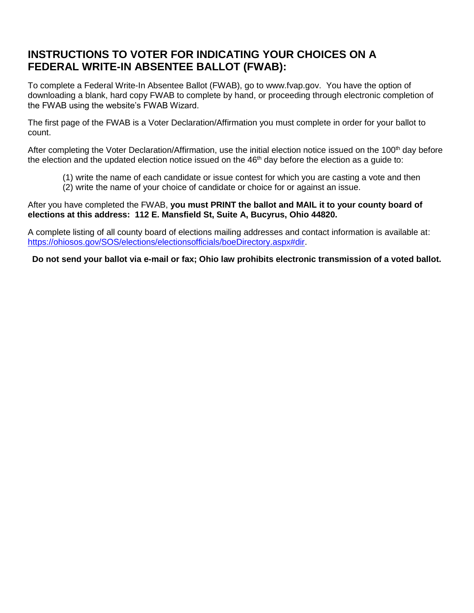### **INSTRUCTIONS TO VOTER FOR INDICATING YOUR CHOICES ON A FEDERAL WRITE-IN ABSENTEE BALLOT (FWAB):**

To complete a Federal Write-In Absentee Ballot (FWAB), go to [www.fvap.gov.](http://www.fvap.gov/) You have the option of downloading a blank, hard copy FWAB to complete by hand, or proceeding through electronic completion of the FWAB using the website's FWAB Wizard.

The first page of the FWAB is a Voter Declaration/Affirmation you must complete in order for your ballot to count.

After completing the Voter Declaration/Affirmation, use the initial election notice issued on the 100<sup>th</sup> day before the election and the updated election notice issued on the 46<sup>th</sup> day before the election as a guide to:

- (1) write the name of each candidate or issue contest for which you are casting a vote and then
- (2) write the name of your choice of candidate or choice for or against an issue.

After you have completed the FWAB, **you must PRINT the ballot and MAIL it to your county board of elections at this address: 112 E. Mansfield St, Suite A, Bucyrus, Ohio 44820.** 

A complete listing of all county board of elections mailing addresses and contact information is available at: [https://ohiosos.gov/SOS/elections/electionsofficials/boeDirectory.aspx#dir.](https://ohiosos.gov/SOS/elections/electionsofficials/boeDirectory.aspx#dir)

**Do not send your ballot via e-mail or fax; Ohio law prohibits electronic transmission of a voted ballot.**